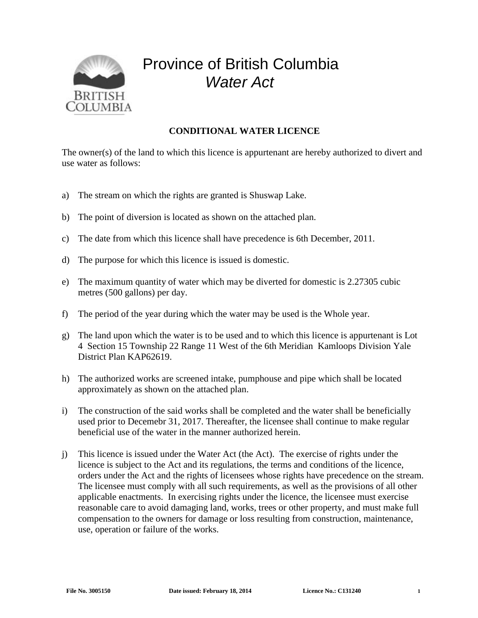

## Province of British Columbia *Water Act*

## **CONDITIONAL WATER LICENCE**

The owner(s) of the land to which this licence is appurtenant are hereby authorized to divert and use water as follows:

- a) The stream on which the rights are granted is Shuswap Lake.
- b) The point of diversion is located as shown on the attached plan.
- c) The date from which this licence shall have precedence is 6th December, 2011.
- d) The purpose for which this licence is issued is domestic.
- e) The maximum quantity of water which may be diverted for domestic is 2.27305 cubic metres (500 gallons) per day.
- f) The period of the year during which the water may be used is the Whole year.
- g) The land upon which the water is to be used and to which this licence is appurtenant is Lot 4 Section 15 Township 22 Range 11 West of the 6th Meridian Kamloops Division Yale District Plan KAP62619.
- h) The authorized works are screened intake, pumphouse and pipe which shall be located approximately as shown on the attached plan.
- i) The construction of the said works shall be completed and the water shall be beneficially used prior to Decemebr 31, 2017. Thereafter, the licensee shall continue to make regular beneficial use of the water in the manner authorized herein.
- j) This licence is issued under the Water Act (the Act). The exercise of rights under the licence is subject to the Act and its regulations, the terms and conditions of the licence, orders under the Act and the rights of licensees whose rights have precedence on the stream. The licensee must comply with all such requirements, as well as the provisions of all other applicable enactments. In exercising rights under the licence, the licensee must exercise reasonable care to avoid damaging land, works, trees or other property, and must make full compensation to the owners for damage or loss resulting from construction, maintenance, use, operation or failure of the works.